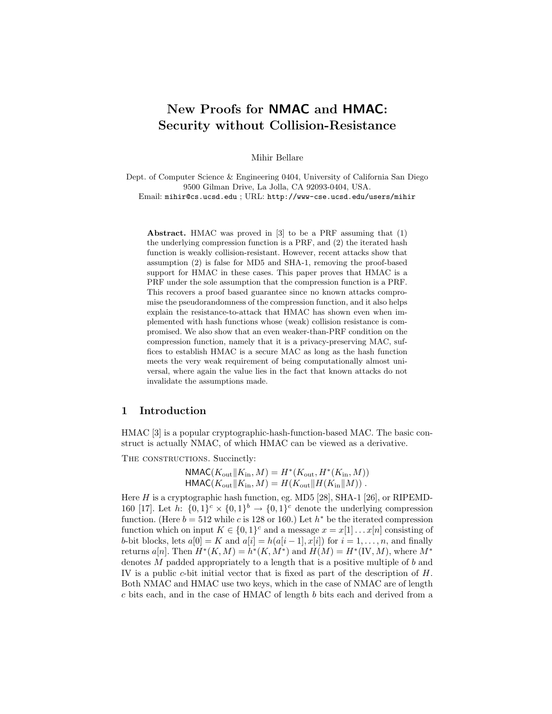# New Proofs for NMAC and HMAC: Security without Collision-Resistance

Mihir Bellare

Dept. of Computer Science & Engineering 0404, University of California San Diego 9500 Gilman Drive, La Jolla, CA 92093-0404, USA. Email: mihir@cs.ucsd.edu ; URL: http://www-cse.ucsd.edu/users/mihir

Abstract. HMAC was proved in [3] to be a PRF assuming that (1) the underlying compression function is a PRF, and (2) the iterated hash function is weakly collision-resistant. However, recent attacks show that assumption (2) is false for MD5 and SHA-1, removing the proof-based support for HMAC in these cases. This paper proves that HMAC is a PRF under the sole assumption that the compression function is a PRF. This recovers a proof based guarantee since no known attacks compromise the pseudorandomness of the compression function, and it also helps explain the resistance-to-attack that HMAC has shown even when implemented with hash functions whose (weak) collision resistance is compromised. We also show that an even weaker-than-PRF condition on the compression function, namely that it is a privacy-preserving MAC, suffices to establish HMAC is a secure MAC as long as the hash function meets the very weak requirement of being computationally almost universal, where again the value lies in the fact that known attacks do not invalidate the assumptions made.

## 1 Introduction

HMAC [3] is a popular cryptographic-hash-function-based MAC. The basic construct is actually NMAC, of which HMAC can be viewed as a derivative.

THE CONSTRUCTIONS. Succinctly:

 $NMAC(K_{\text{out}} || K_{\text{in}}, M) = H^*(K_{\text{out}}, H^*(K_{\text{in}}, M))$  $HMAC(K_{\text{out}}||K_{\text{in}}, M) = H(K_{\text{out}}||H(K_{\text{in}}||M))$ .

Here  $H$  is a cryptographic hash function, eg. MD5 [28], SHA-1 [26], or RIPEMD-160 [17]. Let h:  $\{0,1\}^c \times \{0,1\}^b \rightarrow \{0,1\}^c$  denote the underlying compression function. (Here  $b = 512$  while c is 128 or 160.) Let  $h^*$  be the iterated compression function which on input  $K \in \{0,1\}^c$  and a message  $x = x[1] \dots x[n]$  consisting of b-bit blocks, lets  $a[0] = K$  and  $a[i] = h(a[i-1], x[i])$  for  $i = 1, \ldots, n$ , and finally returns  $a[n]$ . Then  $H^*(K,M) = h^*(K,M^*)$  and  $H(M) = H^*(IV,M)$ , where  $M^*$ denotes M padded appropriately to a length that is a positive multiple of b and IV is a public c-bit initial vector that is fixed as part of the description of  $H$ . Both NMAC and HMAC use two keys, which in the case of NMAC are of length c bits each, and in the case of HMAC of length b bits each and derived from a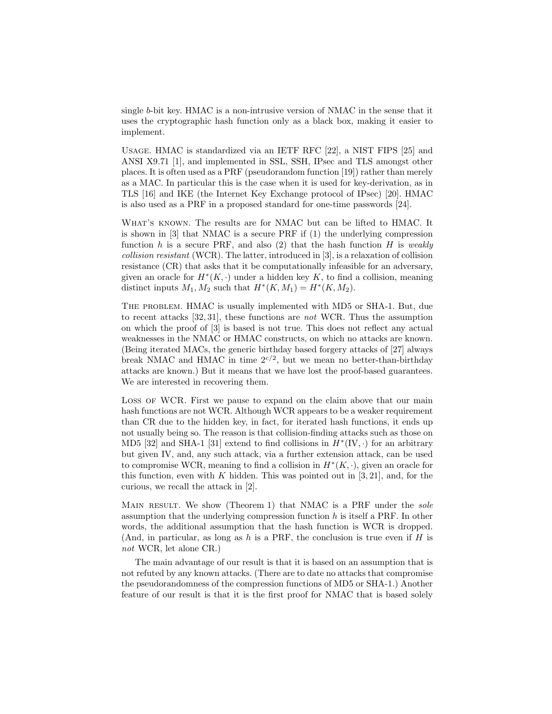single b-bit key. HMAC is a non-intrusive version of NMAC in the sense that it uses the cryptographic hash function only as a black box, making it easier to implement.

Usage. HMAC is standardized via an IETF RFC [22], a NIST FIPS [25] and ANSI X9.71 [1], and implemented in SSL, SSH, IPsec and TLS amongst other places. It is often used as a PRF (pseudorandom function [19]) rather than merely as a MAC. In particular this is the case when it is used for key-derivation, as in TLS [16] and IKE (the Internet Key Exchange protocol of IPsec) [20]. HMAC is also used as a PRF in a proposed standard for one-time passwords [24].

What's known. The results are for NMAC but can be lifted to HMAC. It is shown in [3] that NMAC is a secure PRF if (1) the underlying compression function h is a secure PRF, and also (2) that the hash function H is weakly collision resistant (WCR). The latter, introduced in [3], is a relaxation of collision resistance (CR) that asks that it be computationally infeasible for an adversary, given an oracle for  $H^*(K, \cdot)$  under a hidden key K, to find a collision, meaning distinct inputs  $M_1, M_2$  such that  $H^*(K, M_1) = H^*(K, M_2)$ .

The problem. HMAC is usually implemented with MD5 or SHA-1. But, due to recent attacks [32, 31], these functions are not WCR. Thus the assumption on which the proof of [3] is based is not true. This does not reflect any actual weaknesses in the NMAC or HMAC constructs, on which no attacks are known. (Being iterated MACs, the generic birthday based forgery attacks of [27] always break NMAC and HMAC in time  $2^{c/2}$ , but we mean no better-than-birthday attacks are known.) But it means that we have lost the proof-based guarantees. We are interested in recovering them.

LOSS OF WCR. First we pause to expand on the claim above that our main hash functions are not WCR. Although WCR appears to be a weaker requirement than CR due to the hidden key, in fact, for iterated hash functions, it ends up not usually being so. The reason is that collision-finding attacks such as those on MD5 [32] and SHA-1 [31] extend to find collisions in  $H^*(IV, \cdot)$  for an arbitrary but given IV, and, any such attack, via a further extension attack, can be used to compromise WCR, meaning to find a collision in  $H^*(K, \cdot)$ , given an oracle for this function, even with K hidden. This was pointed out in  $[3, 21]$ , and, for the curious, we recall the attack in [2].

MAIN RESULT. We show (Theorem 1) that NMAC is a PRF under the sole assumption that the underlying compression function  $h$  is itself a PRF. In other words, the additional assumption that the hash function is WCR is dropped. (And, in particular, as long as h is a PRF, the conclusion is true even if  $H$  is not WCR, let alone CR.)

The main advantage of our result is that it is based on an assumption that is not refuted by any known attacks. (There are to date no attacks that compromise the pseudorandomness of the compression functions of MD5 or SHA-1.) Another feature of our result is that it is the first proof for NMAC that is based solely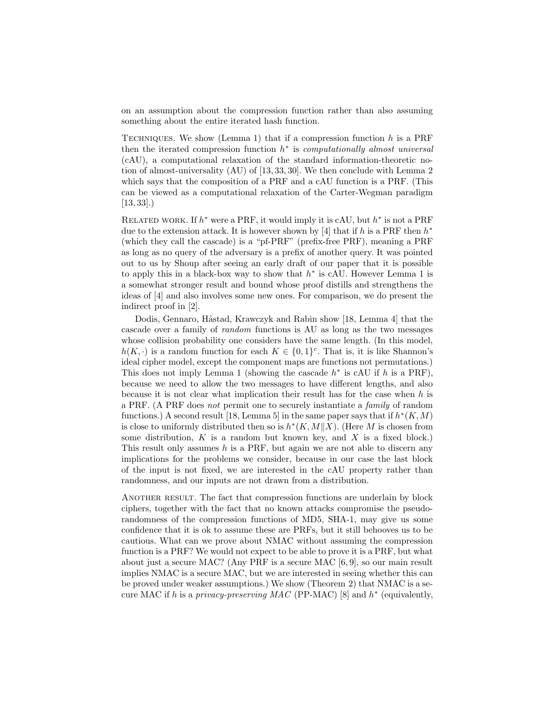on an assumption about the compression function rather than also assuming something about the entire iterated hash function.

TECHNIQUES. We show (Lemma 1) that if a compression function  $h$  is a PRF then the iterated compression function  $h^*$  is *computationally almost universal* (cAU), a computational relaxation of the standard information-theoretic notion of almost-universality (AU) of [13, 33, 30]. We then conclude with Lemma 2 which says that the composition of a PRF and a cAU function is a PRF. (This can be viewed as a computational relaxation of the Carter-Wegman paradigm [13, 33].)

RELATED WORK. If  $h^*$  were a PRF, it would imply it is cAU, but  $h^*$  is not a PRF due to the extension attack. It is however shown by [4] that if h is a PRF then  $h^*$ (which they call the cascade) is a "pf-PRF" (prefix-free PRF), meaning a PRF as long as no query of the adversary is a prefix of another query. It was pointed out to us by Shoup after seeing an early draft of our paper that it is possible to apply this in a black-box way to show that  $h^*$  is cAU. However Lemma 1 is a somewhat stronger result and bound whose proof distills and strengthens the ideas of [4] and also involves some new ones. For comparison, we do present the indirect proof in [2].

Dodis, Gennaro, Håstad, Krawczyk and Rabin show [18, Lemma 4] that the cascade over a family of random functions is AU as long as the two messages whose collision probability one considers have the same length. (In this model,  $h(K, \cdot)$  is a random function for each  $K \in \{0, 1\}^c$ . That is, it is like Shannon's ideal cipher model, except the component maps are functions not permutations.) This does not imply Lemma 1 (showing the cascade  $h^*$  is cAU if h is a PRF), because we need to allow the two messages to have different lengths, and also because it is not clear what implication their result has for the case when  $h$  is a PRF. (A PRF does not permit one to securely instantiate a family of random functions.) A second result [18, Lemma 5] in the same paper says that if  $h^*(K, M)$ is close to uniformly distributed then so is  $h^*(K,M||X)$ . (Here M is chosen from some distribution,  $K$  is a random but known key, and  $X$  is a fixed block.) This result only assumes  $h$  is a PRF, but again we are not able to discern any implications for the problems we consider, because in our case the last block of the input is not fixed, we are interested in the cAU property rather than randomness, and our inputs are not drawn from a distribution.

ANOTHER RESULT. The fact that compression functions are underlain by block ciphers, together with the fact that no known attacks compromise the pseudorandomness of the compression functions of MD5, SHA-1, may give us some confidence that it is ok to assume these are PRFs, but it still behooves us to be cautious. What can we prove about NMAC without assuming the compression function is a PRF? We would not expect to be able to prove it is a PRF, but what about just a secure MAC? (Any PRF is a secure MAC [6, 9], so our main result implies NMAC is a secure MAC, but we are interested in seeing whether this can be proved under weaker assumptions.) We show (Theorem 2) that NMAC is a secure MAC if h is a privacy-preserving MAC (PP-MAC) [8] and  $h^*$  (equivalently,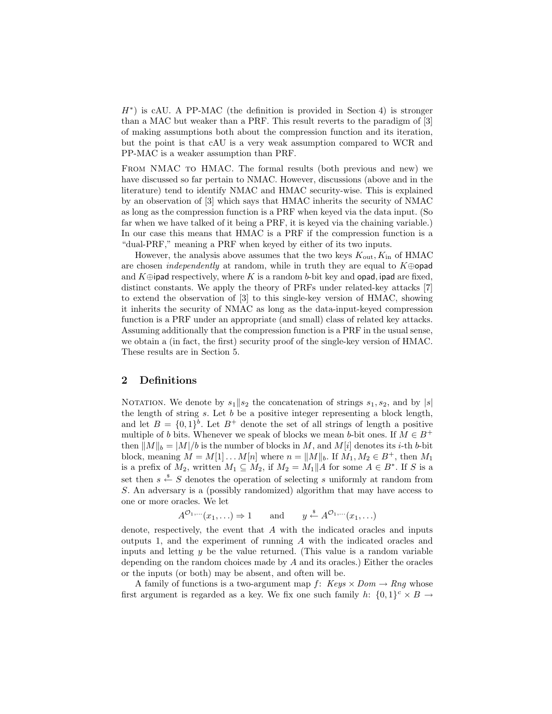H<sup>\*</sup>) is cAU. A PP-MAC (the definition is provided in Section 4) is stronger than a MAC but weaker than a PRF. This result reverts to the paradigm of [3] of making assumptions both about the compression function and its iteration, but the point is that cAU is a very weak assumption compared to WCR and PP-MAC is a weaker assumption than PRF.

FROM NMAC TO HMAC. The formal results (both previous and new) we have discussed so far pertain to NMAC. However, discussions (above and in the literature) tend to identify NMAC and HMAC security-wise. This is explained by an observation of [3] which says that HMAC inherits the security of NMAC as long as the compression function is a PRF when keyed via the data input. (So far when we have talked of it being a PRF, it is keyed via the chaining variable.) In our case this means that HMAC is a PRF if the compression function is a "dual-PRF," meaning a PRF when keyed by either of its two inputs.

However, the analysis above assumes that the two keys  $K_{\text{out}}$ ,  $K_{\text{in}}$  of HMAC are chosen *independently* at random, while in truth they are equal to  $K \oplus \text{opad}$ and  $K \oplus$ ipad respectively, where K is a random b-bit key and opad, ipad are fixed, distinct constants. We apply the theory of PRFs under related-key attacks [7] to extend the observation of [3] to this single-key version of HMAC, showing it inherits the security of NMAC as long as the data-input-keyed compression function is a PRF under an appropriate (and small) class of related key attacks. Assuming additionally that the compression function is a PRF in the usual sense, we obtain a (in fact, the first) security proof of the single-key version of HMAC. These results are in Section 5.

## 2 Definitions

NOTATION. We denote by  $s_1||s_2$  the concatenation of strings  $s_1, s_2$ , and by  $|s|$ the length of string  $s$ . Let  $b$  be a positive integer representing a block length, and let  $B = \{0,1\}^b$ . Let  $B^+$  denote the set of all strings of length a positive multiple of b bits. Whenever we speak of blocks we mean b-bit ones. If  $M \in B^+$ then  $||M||_b = |M|/b$  is the number of blocks in M, and M[i] denotes its *i*-th *b*-bit block, meaning  $M = M[1] \dots M[n]$  where  $n = ||M||_b$ . If  $M_1, M_2 \in B^+$ , then  $M_1$ is a prefix of  $M_2$ , written  $M_1 \subseteq M_2$ , if  $M_2 = M_1||A$  for some  $A \in B^*$ . If S is a set then  $s \stackrel{s}{\leftarrow} S$  denotes the operation of selecting s uniformly at random from S. An adversary is a (possibly randomized) algorithm that may have access to one or more oracles. We let

 $A^{\mathcal{O}_1,\dots}(x_1,\dots) \Rightarrow 1$  and  $y \stackrel{\$}{\leftarrow} A^{\mathcal{O}_1,\dots}(x_1,\dots)$ 

denote, respectively, the event that A with the indicated oracles and inputs outputs 1, and the experiment of running A with the indicated oracles and inputs and letting  $y$  be the value returned. (This value is a random variable depending on the random choices made by A and its oracles.) Either the oracles or the inputs (or both) may be absent, and often will be.

A family of functions is a two-argument map f:  $Keys \times Dom \rightarrow Rng$  whose first argument is regarded as a key. We fix one such family  $h: \{0,1\}^c \times B \rightarrow$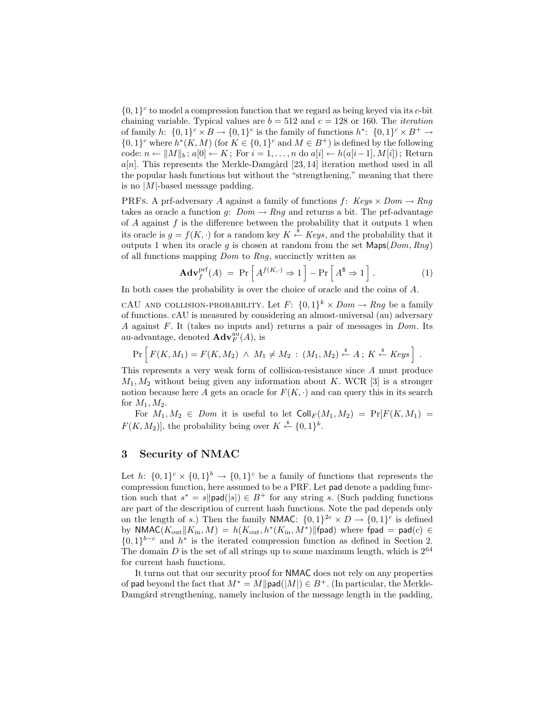$\{0,1\}^c$  to model a compression function that we regard as being keyed via its c-bit chaining variable. Typical values are  $b = 512$  and  $c = 128$  or 160. The *iteration* of family h:  $\{0,1\}^c \times B \to \{0,1\}^c$  is the family of functions  $h^*$ :  $\{0,1\}^c \times B^+ \to$  ${0,1}^c$  where  $h^*(K,M)$  (for  $K \in {0,1}^c$  and  $M \in B^+$ ) is defined by the following code:  $n \leftarrow ||M||_b$ ;  $a[0] \leftarrow K$ ; For  $i = 1, \ldots, n$  do  $a[i] \leftarrow h(a[i-1], M[i])$ ; Return  $a[n]$ . This represents the Merkle-Damgård [23, 14] iteration method used in all the popular hash functions but without the "strengthening," meaning that there is no  $|M|$ -based message padding.

PRFs. A prf-adversary A against a family of functions f:  $Keys \times Dom \rightarrow Rng$ takes as oracle a function g:  $Dom \rightarrow Rng$  and returns a bit. The prf-advantage of  $A$  against  $f$  is the difference between the probability that it outputs 1 when its oracle is  $g = f(K, \cdot)$  for a random key  $K \stackrel{\text{s}}{\leftarrow} \text{Keys}$ , and the probability that it outputs 1 when its oracle q is chosen at random from the set  $\mathsf{Maps}(Dom, Rng)$ of all functions mapping Dom to Rng, succinctly written as

$$
\mathbf{Adv}_{f}^{\text{prf}}(A) = \Pr\left[A^{f(K,\cdot)} \Rightarrow 1\right] - \Pr\left[A^{\$} \Rightarrow 1\right].\tag{1}
$$

.

In both cases the probability is over the choice of oracle and the coins of A.

CAU AND COLLISION-PROBABILITY. Let  $F: \{0,1\}^k \times Dom \rightarrow Rng$  be a family of functions. cAU is measured by considering an almost-universal (au) adversary A against F. It (takes no inputs and) returns a pair of messages in Dom. Its au-advantage, denoted  $\mathbf{Adv}_{F}^{\text{au}}(A)$ , is

$$
\Pr\left[F(K, M_1) = F(K, M_2) \ \wedge \ M_1 \neq M_2 \ : \ (M_1, M_2) \stackrel{\$}{\leftarrow} A \ ; \ K \stackrel{\$}{\leftarrow} \text{Keys}\right]
$$

This represents a very weak form of collision-resistance since A must produce  $M_1, M_2$  without being given any information about K. WCR [3] is a stronger notion because here A gets an oracle for  $F(K, \cdot)$  and can query this in its search for  $M_1, M_2$ .

For  $M_1, M_2 \in Dom$  it is useful to let  $\text{Coll}_F(M_1, M_2) = \Pr[F(K, M_1) =$  $F(K, M_2)$ , the probability being over  $K \stackrel{\text{s}}{\leftarrow} \{0, 1\}^k$ .

# 3 Security of NMAC

Let h:  $\{0,1\}^c \times \{0,1\}^b \rightarrow \{0,1\}^c$  be a family of functions that represents the compression function, here assumed to be a PRF. Let pad denote a padding function such that  $s^* = s \|\text{pad}(|s|) \in B^+$  for any string s. (Such padding functions are part of the description of current hash functions. Note the pad depends only on the length of s.) Then the family NMAC:  $\{0,1\}^{2c} \times D \to \{0,1\}^c$  is defined by  $NMAC(K_{\text{out}}||K_{\text{in}}, M) = h(K_{\text{out}}, h^*(K_{\text{in}}, M^*))$  [fpad) where fpad = pad(c)  $\in$  ${0,1}^{b-c}$  and  $h^*$  is the iterated compression function as defined in Section 2. The domain  $D$  is the set of all strings up to some maximum length, which is  $2^{64}$ for current hash functions.

It turns out that our security proof for NMAC does not rely on any properties of pad beyond the fact that  $M^* = M||pad(|M|) \in B^+$ . (In particular, the Merkle-Damgård strengthening, namely inclusion of the message length in the padding,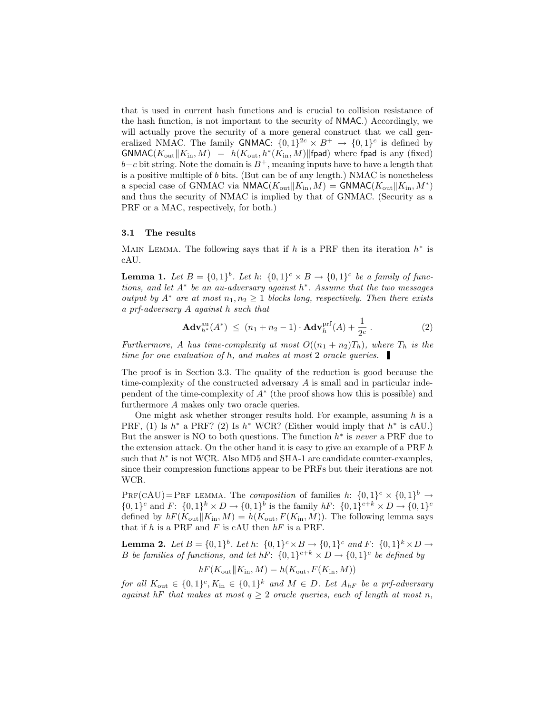that is used in current hash functions and is crucial to collision resistance of the hash function, is not important to the security of NMAC.) Accordingly, we will actually prove the security of a more general construct that we call generalized NMAC. The family GNMAC:  $\{0,1\}^{2c} \times B^+ \rightarrow \{0,1\}^c$  is defined by  $\text{GNMAC}(K_{\text{out}}||K_{\text{in}}, M) = h(K_{\text{out}}, h^*(K_{\text{in}}, M)||\text{fpad})$  where fpad is any (fixed)  $b-c$  bit string. Note the domain is  $B^+$ , meaning inputs have to have a length that is a positive multiple of b bits. (But can be of any length.) NMAC is nonetheless a special case of GNMAC via  $NMAC(K_{\text{out}}||K_{\text{in}}, M) = GMMAC(K_{\text{out}}||K_{\text{in}}, M^*)$ and thus the security of NMAC is implied by that of GNMAC. (Security as a PRF or a MAC, respectively, for both.)

#### 3.1 The results

MAIN LEMMA. The following says that if h is a PRF then its iteration  $h^*$  is cAU.

**Lemma 1.** Let  $B = \{0, 1\}^b$ . Let  $h: \{0, 1\}^c \times B \rightarrow \{0, 1\}^c$  be a family of functions, and let A<sup>\*</sup> be an au-adversary against h<sup>\*</sup>. Assume that the two messages output by  $A^*$  are at most  $n_1, n_2 \geq 1$  blocks long, respectively. Then there exists a prf-adversary A against h such that

$$
\mathbf{Adv}_{h^*}^{\text{au}}(A^*) \ \leq \ (n_1 + n_2 - 1) \cdot \mathbf{Adv}_h^{\text{prf}}(A) + \frac{1}{2^c} \ . \tag{2}
$$

Furthermore, A has time-complexity at most  $O((n_1 + n_2)T_h)$ , where  $T_h$  is the time for one evaluation of h, and makes at most 2 oracle queries.

The proof is in Section 3.3. The quality of the reduction is good because the time-complexity of the constructed adversary  $A$  is small and in particular independent of the time-complexity of  $A^*$  (the proof shows how this is possible) and furthermore A makes only two oracle queries.

One might ask whether stronger results hold. For example, assuming  $h$  is a PRF, (1) Is  $h^*$  a PRF? (2) Is  $h^*$  WCR? (Either would imply that  $h^*$  is cAU.) But the answer is NO to both questions. The function  $h^*$  is never a PRF due to the extension attack. On the other hand it is easy to give an example of a PRF  $h$ such that  $h^*$  is not WCR. Also MD5 and SHA-1 are candidate counter-examples, since their compression functions appear to be PRFs but their iterations are not WCR.

 $\text{PRF}(\text{CAU}) = \text{PRF}$  LEMMA. The *composition* of families h:  $\{0, 1\}^c \times \{0, 1\}^b \rightarrow$  ${0,1}^c$  and  $F: {0,1}^k \times D \to {0,1}^b$  is the family  $hF: {0,1}^{c+k} \times D \to {0,1}^c$ defined by  $hF(K_{\text{out}}||K_{\text{in}}, M) = h(K_{\text{out}}, F(K_{\text{in}}, M))$ . The following lemma says that if  $h$  is a PRF and  $F$  is cAU then  $hF$  is a PRF.

**Lemma 2.** Let  $B = \{0, 1\}^b$ . Let h:  $\{0, 1\}^c \times B \to \{0, 1\}^c$  and  $F: \{0, 1\}^k \times D \to$ B be families of functions, and let  $hF: \{0,1\}^{c+k} \times D \to \{0,1\}^c$  be defined by

$$
hF(K_{\text{out}}||K_{\text{in}}, M) = h(K_{\text{out}}, F(K_{\text{in}}, M))
$$

for all  $K_{\text{out}} \in \{0,1\}^c$ ,  $K_{\text{in}} \in \{0,1\}^k$  and  $M \in D$ . Let  $A_{hF}$  be a prf-adversary against hF that makes at most  $q \geq 2$  oracle queries, each of length at most n,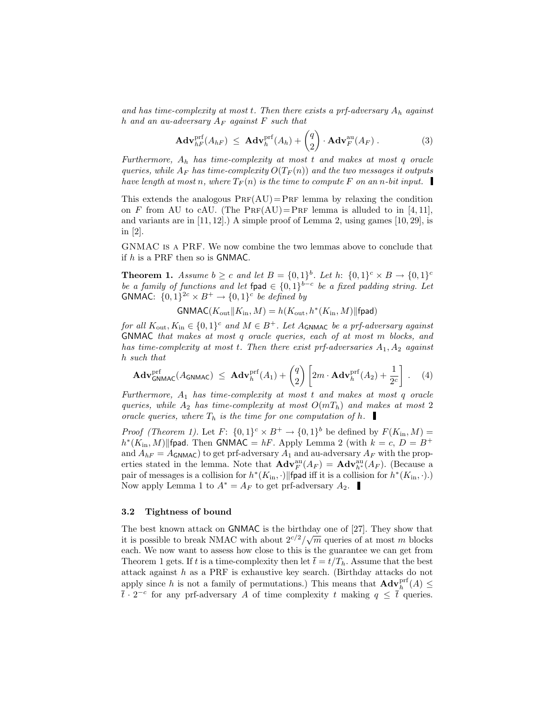and has time-complexity at most t. Then there exists a prf-adversary  $A_h$  against h and an au-adversary  $A_F$  against F such that

$$
\mathbf{Adv}_{hF}^{\mathrm{prf}}(A_{hF}) \leq \mathbf{Adv}_{h}^{\mathrm{prf}}(A_{h}) + \begin{pmatrix} q \\ 2 \end{pmatrix} \cdot \mathbf{Adv}_{F}^{\mathrm{au}}(A_{F}). \tag{3}
$$

Furthermore,  $A_h$  has time-complexity at most t and makes at most q oracle queries, while  $A_F$  has time-complexity  $O(T_F(n))$  and the two messages it outputs have length at most n, where  $T_F(n)$  is the time to compute F on an n-bit input.

This extends the analogous  $PrF(AU)=PrF$  lemma by relaxing the condition on F from AU to cAU. (The PRF(AU)=PRF lemma is alluded to in [4, 11], and variants are in  $[11, 12]$ .) A simple proof of Lemma 2, using games  $[10, 29]$ , is in [2].

GNMAC is a PRF. We now combine the two lemmas above to conclude that if  $h$  is a PRF then so is GNMAC.

**Theorem 1.** Assume  $b \geq c$  and let  $B = \{0,1\}^b$ . Let h:  $\{0,1\}^c \times B \rightarrow \{0,1\}^c$ be a family of functions and let fpad  $\in \{0,1\}^{b-c}$  be a fixed padding string. Let GNMAC:  $\{0,1\}^{2c} \times B^+ \rightarrow \{0,1\}^c$  be defined by

 $\mathsf{GNMAC}(K_{\mathrm{out}}\|K_{\mathrm{in}}, M) = h(K_{\mathrm{out}}, h^*(K_{\mathrm{in}}, M)\| \mathsf{fpad})$ 

for all  $K_{\text{out}}$ ,  $K_{\text{in}} \in \{0,1\}^c$  and  $M \in B^+$ . Let  $A_{\text{GNMAC}}$  be a prf-adversary against GNMAC that makes at most q oracle queries, each of at most m blocks, and has time-complexity at most t. Then there exist prf-adversaries  $A_1, A_2$  against h such that

$$
\mathbf{Adv}_{\mathsf{GNMAC}}^{\text{prf}}(A_{\mathsf{GNMAC}}) \leq \mathbf{Adv}_{h}^{\text{prf}}(A_1) + \begin{pmatrix} q \\ 2 \end{pmatrix} \left[ 2m \cdot \mathbf{Adv}_{h}^{\text{prf}}(A_2) + \frac{1}{2^c} \right]. \tag{4}
$$

Furthermore,  $A_1$  has time-complexity at most t and makes at most q oracle queries, while  $A_2$  has time-complexity at most  $O(mT_h)$  and makes at most 2 oracle queries, where  $T_h$  is the time for one computation of h.

*Proof (Theorem 1).* Let  $F: \{0,1\}^c \times B^+ \to \{0,1\}^b$  be defined by  $F(K_{\text{in}}, M) =$  $h^*(K_{\text{in}}, M)$ ||fpad. Then GNMAC =  $hF$ . Apply Lemma 2 (with  $k = c, D = B^+$ and  $A_{hF} = A_{\text{GNMAC}}$  to get prf-adversary  $A_1$  and au-adversary  $A_F$  with the properties stated in the lemma. Note that  $\mathbf{Adv}_{F}^{\text{au}}(A_{F}) = \mathbf{Adv}_{h^{*}}^{\text{au}}(A_{F})$ . (Because a pair of messages is a collision for  $h^*(K_{\text{in}}, \cdot)$  for  $h^*$  iff it is a collision for  $h^*(K_{\text{in}}, \cdot)$ . Now apply Lemma 1 to  $A^* = A_F$  to get prf-adversary  $A_2$ .

#### 3.2 Tightness of bound

The best known attack on GNMAC is the birthday one of [27]. They show that it is possible to break NMAC with about  $2^{c/2}/\sqrt{m}$  queries of at most m blocks each. We now want to assess how close to this is the guarantee we can get from Theorem 1 gets. If t is a time-complexity then let  $\bar{t} = t/T_h$ . Assume that the best attack against h as a PRF is exhaustive key search. (Birthday attacks do not apply since h is not a family of permutations.) This means that  $\mathbf{Adv}_{h}^{\text{prf}}(A) \leq$  $\overline{t} \cdot 2^{-c}$  for any prf-adversary A of time complexity t making  $q \leq \overline{t}$  queries.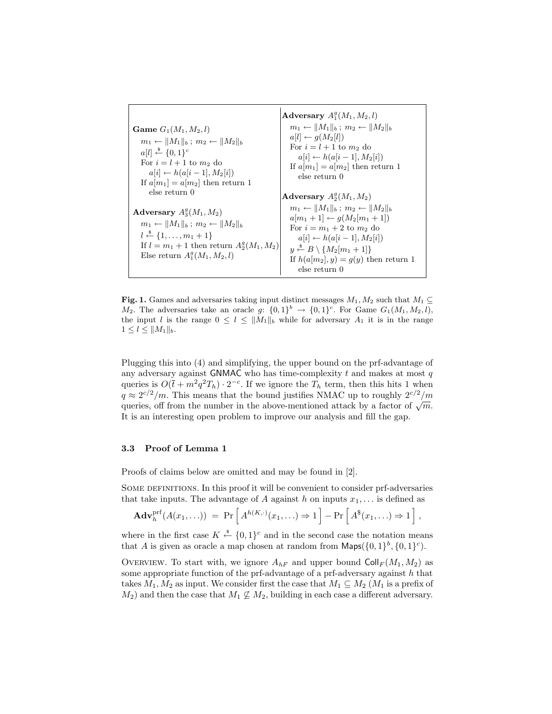|                                                                                  | Adversary $A_1^g(M_1,M_2,l)$                                              |
|----------------------------------------------------------------------------------|---------------------------------------------------------------------------|
| <b>Game</b> $G_1(M_1, M_2, l)$                                                   | $m_1 \leftarrow   M_1  _b$ ; $m_2 \leftarrow   M_2  _b$                   |
| $m_1 \leftarrow   M_1  _b$ ; $m_2 \leftarrow   M_2  _b$                          | $a[l] \leftarrow q(M_2[l])$                                               |
| $a[l] \stackrel{\$}{\leftarrow} \{0,1\}^c$                                       | For $i = l + 1$ to $m_2$ do                                               |
| For $i = l + 1$ to $m_2$ do                                                      | $a[i] \leftarrow h(a[i-1], M_2[i])$<br>If $a[m_1] = a[m_2]$ then return 1 |
| $a[i] \leftarrow h(a[i-1], M_2[i])$                                              | else return 0                                                             |
| If $a[m_1] = a[m_2]$ then return 1                                               |                                                                           |
| else return 0                                                                    | Adversary $A_2^g(M_1,M_2)$                                                |
| Adversary $A_3^g(M_1,M_2)$                                                       | $m_1 \leftarrow   M_1  _b$ ; $m_2 \leftarrow   M_2  _b$                   |
| $m_1 \leftarrow   M_1  _b$ ; $m_2 \leftarrow   M_2  _b$                          | $a[m_1+1] \leftarrow q(M_2[m_1+1])$                                       |
|                                                                                  | For $i = m_1 + 2$ to $m_2$ do                                             |
| $l \leftarrow \{1, \ldots, m_1 + 1\}$                                            | $a[i] \leftarrow h(a[i-1], M_2[i])$                                       |
| If $l = m_1 + 1$ then return $A_2^g(M_1, M_2)$<br>Else return $A_1^g(M_1,M_2,l)$ | $y \stackrel{\$}{\leftarrow} B \setminus \{M_2[m_1+1]\}$                  |
|                                                                                  | If $h(a[m_2], y) = q(y)$ then return 1                                    |
|                                                                                  | else return 0                                                             |

Fig. 1. Games and adversaries taking input distinct messages  $M_1, M_2$  such that  $M_1 \subseteq$  $M_2$ . The adversaries take an oracle g:  $\{0,1\}^b \rightarrow \{0,1\}^c$ . For Game  $G_1(M_1,M_2,l)$ , the input l is the range  $0 \leq l \leq ||M_1||_b$  while for adversary  $A_1$  it is in the range  $1 \leq l \leq ||M_1||_b.$ 

Plugging this into (4) and simplifying, the upper bound on the prf-advantage of any adversary against GNMAC who has time-complexity  $t$  and makes at most  $q$ queries is  $O(\overline{t} + m^2 q^2 T_h) \cdot 2^{-c}$ . If we ignore the  $T_h$  term, then this hits 1 when  $q \approx 2^{c/2}/m$ . This means that the bound justifies NMAC up to roughly  $2^{c/2}/m$ queries, off from the number in the above-mentioned attack by a factor of  $\sqrt{m}$ . It is an interesting open problem to improve our analysis and fill the gap.

#### 3.3 Proof of Lemma 1

Proofs of claims below are omitted and may be found in [2].

Some definitions. In this proof it will be convenient to consider prf-adversaries that take inputs. The advantage of A against h on inputs  $x_1, \ldots$  is defined as

$$
\mathbf{Adv}_{h}^{\mathrm{prf}}(A(x_1,\ldots)) = \mathrm{Pr}\left[A^{h(K,\cdot)}(x_1,\ldots) \Rightarrow 1\right] - \mathrm{Pr}\left[A^{\$}(x_1,\ldots) \Rightarrow 1\right],
$$

where in the first case  $K \stackrel{\$}{\leftarrow} \{0,1\}^c$  and in the second case the notation means that A is given as oracle a map chosen at random from  $\mathsf{Maps}(\{0,1\}^b, \{0,1\}^c)$ .

OVERVIEW. To start with, we ignore  $A_{hF}$  and upper bound  $\text{Coll}_F (M_1, M_2)$  as some appropriate function of the prf-advantage of a prf-adversary against  $h$  that takes  $M_1, M_2$  as input. We consider first the case that  $M_1 \subseteq M_2$  ( $M_1$  is a prefix of  $M_2$ ) and then the case that  $M_1 \not\subseteq M_2$ , building in each case a different adversary.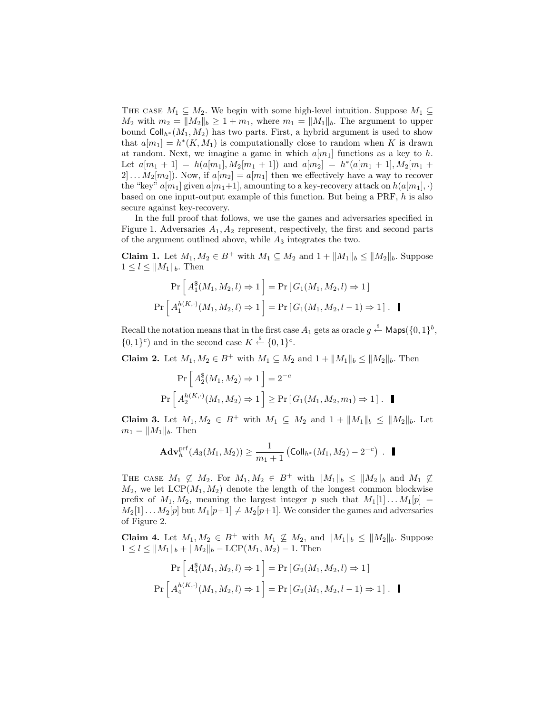THE CASE  $M_1 \subseteq M_2$ . We begin with some high-level intuition. Suppose  $M_1 \subseteq$  $M_2$  with  $m_2 = ||M_2||_b \ge 1 + m_1$ , where  $m_1 = ||M_1||_b$ . The argument to upper bound  $\text{Coll}_{h^*}(M_1, M_2)$  has two parts. First, a hybrid argument is used to show that  $a[m_1] = h^*(K, M_1)$  is computationally close to random when K is drawn at random. Next, we imagine a game in which  $a[m_1]$  functions as a key to h. Let  $a[m_1 + 1] = h(a[m_1], M_2[m_1 + 1])$  and  $a[m_2] = h^*(a[m_1 + 1], M_2[m_1 +$  $2|...M_2[m_2]$ . Now, if  $a[m_2] = a[m_1]$  then we effectively have a way to recover the "key"  $a[m_1]$  given  $a[m_1+1]$ , amounting to a key-recovery attack on  $h(a[m_1], \cdot)$ based on one input-output example of this function. But being a PRF, h is also secure against key-recovery.

In the full proof that follows, we use the games and adversaries specified in Figure 1. Adversaries  $A_1, A_2$  represent, respectively, the first and second parts of the argument outlined above, while  $A_3$  integrates the two.

**Claim 1.** Let  $M_1, M_2 \in B^+$  with  $M_1 \subseteq M_2$  and  $1 + ||M_1||_b \le ||M_2||_b$ . Suppose  $1 \leq l \leq ||M_1||_b$ . Then

$$
\Pr\left[A_1^{\$}(M_1, M_2, l) \Rightarrow 1\right] = \Pr\left[G_1(M_1, M_2, l) \Rightarrow 1\right]
$$

$$
\Pr\left[A_1^{h(K, \cdot)}(M_1, M_2, l) \Rightarrow 1\right] = \Pr\left[G_1(M_1, M_2, l - 1) \Rightarrow 1\right].
$$

Recall the notation means that in the first case  $A_1$  gets as oracle  $g \stackrel{\$}{\leftarrow}$  Maps $(\{0,1\}^b,$  $\{0,1\}^c$  and in the second case  $K \stackrel{\$}{\leftarrow} \{0,1\}^c$ .

**Claim 2.** Let  $M_1, M_2 \in B^+$  with  $M_1 \subseteq M_2$  and  $1 + ||M_1||_b \le ||M_2||_b$ . Then

$$
\Pr\left[A_2^{\$}(M_1, M_2) \Rightarrow 1\right] = 2^{-c}
$$
  

$$
\Pr\left[A_2^{h(K, \cdot)}(M_1, M_2) \Rightarrow 1\right] \ge \Pr\left[G_1(M_1, M_2, m_1) \Rightarrow 1\right].
$$

**Claim 3.** Let  $M_1, M_2 \text{ ∈ } B^+$  with  $M_1 \subseteq M_2$  and  $1 + ||M_1||_b \le ||M_2||_b$ . Let  $m_1 = ||M_1||_b$ . Then

$$
\mathbf{Adv}_{h}^{\mathrm{prf}}(A_3(M_1, M_2)) \ge \frac{1}{m_1 + 1} (\mathrm{Coll}_{h^*}(M_1, M_2) - 2^{-c}) \ . \ \blacksquare
$$

THE CASE  $M_1 \not\subseteq M_2$ . For  $M_1, M_2 \in B^+$  with  $||M_1||_b \le ||M_2||_b$  and  $M_1 \not\subseteq$  $M_2$ , we let  $LCP(M_1, M_2)$  denote the length of the longest common blockwise prefix of  $M_1, M_2$ , meaning the largest integer p such that  $M_1[1] \dots M_1[p] =$  $M_2[1] \ldots M_2[p]$  but  $M_1[p+1] \neq M_2[p+1]$ . We consider the games and adversaries of Figure 2.

**Claim 4.** Let  $M_1, M_2 \in B^+$  with  $M_1 \nsubseteq M_2$ , and  $||M_1||_b \le ||M_2||_b$ . Suppose  $1 \leq l \leq ||M_1||_b + ||M_2||_b - \text{LCP}(M_1, M_2) - 1.$  Then

$$
\Pr\left[A_4^{\$}(M_1, M_2, l) \Rightarrow 1\right] = \Pr\left[G_2(M_1, M_2, l) \Rightarrow 1\right]
$$

$$
\Pr\left[A_4^{h(K, \cdot)}(M_1, M_2, l) \Rightarrow 1\right] = \Pr\left[G_2(M_1, M_2, l - 1) \Rightarrow 1\right].
$$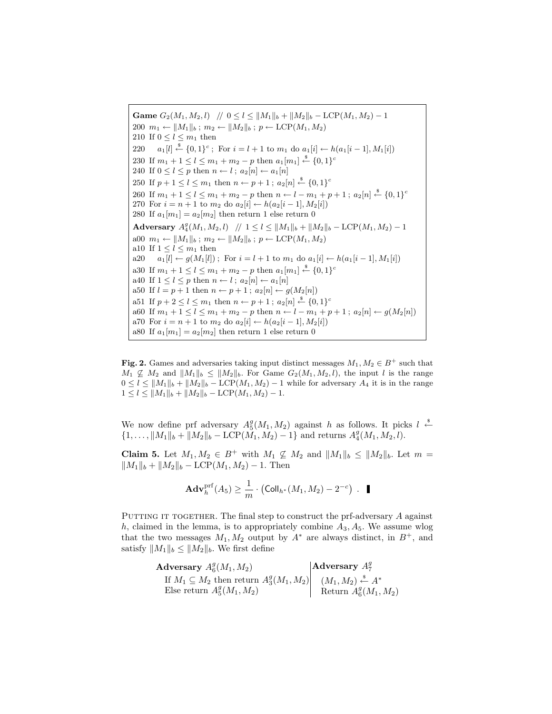Game  $G_2(M_1, M_2, l)$  //  $0 \le l \le ||M_1||_b + ||M_2||_b - \text{LCP}(M_1, M_2) - 1$ 200  $m_1 \leftarrow ||M_1||_b$ ;  $m_2 \leftarrow ||M_2||_b$ ;  $p \leftarrow \text{LCP}(M_1, M_2)$ 210 If  $0 \leq l \leq m_1$  then 220  $a_1[i] \stackrel{\$}{\leftarrow} \{0,1\}^c$ ; For  $i = l + 1$  to  $m_1$  do  $a_1[i] \leftarrow h(a_1[i-1], M_1[i])$ 230 If  $m_1 + 1 \leq l \leq m_1 + m_2 - p$  then  $a_1[m_1] \stackrel{\$}{\leftarrow} \{0,1\}^c$ 240 If  $0 \leq l \leq p$  then  $n \leftarrow l$ ;  $a_2[n] \leftarrow a_1[n]$ 250 If  $p + 1 \leq l \leq m_1$  then  $n \leftarrow p + 1$ ;  $a_2[n] \stackrel{\$}{\leftarrow} \{0, 1\}^c$ 260 If  $m_1 + 1 \le l \le m_1 + m_2 - p$  then  $n \leftarrow l - m_1 + p + 1$ ;  $a_2[n] \stackrel{\$}{\leftarrow} \{0,1\}^c$ 270 For  $i = n + 1$  to  $m_2$  do  $a_2[i] \leftarrow h(a_2[i-1], M_2[i])$ 280 If  $a_1[m_1] = a_2[m_2]$  then return 1 else return 0 Adversary  $A_4^g(M_1, M_2, l)$   $\quad \ \ \! 1 \leq l \leq ||M_1||_b + ||M_2||_b - \mathrm{LCP}(M_1, M_2) - 1$ a00  $m_1 \leftarrow ||M_1||_b$ ;  $m_2 \leftarrow ||M_2||_b$ ;  $p \leftarrow \text{LCP}(M_1, M_2)$ a10 If  $1 \leq l \leq m_1$  then a20  $a_1[l] \leftarrow g(M_1[l])$ ; For  $i = l + 1$  to  $m_1$  do  $a_1[i] \leftarrow h(a_1[i-1], M_1[i])$ a30 If  $m_1 + 1 \leq l \leq m_1 + m_2 - p$  then  $a_1[m_1] \stackrel{\$}{\leftarrow} \{0,1\}^c$ a40 If  $1 \leq l \leq p$  then  $n \leftarrow l$ ;  $a_2[n] \leftarrow a_1[n]$ a50 If  $l = p + 1$  then  $n \leftarrow p + 1$ ;  $a_2[n] \leftarrow g(M_2[n])$ a51 If  $p + 2 \leq l \leq m_1$  then  $n \leftarrow p + 1$ ;  $a_2[n] \stackrel{\$}{\leftarrow} \{0, 1\}^c$ a60 If  $m_1 + 1 \leq l \leq m_1 + m_2 - p$  then  $n \leftarrow l - m_1 + p + 1$ ;  $a_2[n] \leftarrow g(M_2[n])$ a70 For  $i = n + 1$  to  $m_2$  do  $a_2[i] \leftarrow h(a_2[i-1], M_2[i])$ a80 If  $a_1[m_1] = a_2[m_2]$  then return 1 else return 0

Fig. 2. Games and adversaries taking input distinct messages  $M_1, M_2 \in B^+$  such that  $M_1 \not\subset M_2$  and  $||M_1||_b \le ||M_2||_b$ . For Game  $G_2(M_1, M_2, l)$ , the input l is the range  $0 \leq l \leq ||M_1||_b + ||M_2||_b - \text{LCP}(M_1, M_2) - 1$  while for adversary  $A_4$  it is in the range  $1 \leq l \leq ||M_1||_b + ||M_2||_b - \text{LCP}(M_1, M_2) - 1.$ 

We now define prf adversary  $A_5^g(M_1, M_2)$  against h as follows. It picks  $l \stackrel{\$}{\leftarrow}$  $\{1, \ldots, ||M_1||_b + ||M_2||_b - \text{LCP}(M_1, M_2) - 1\}$  and returns  $A_4^g(M_1, M_2, l)$ .

**Claim 5.** Let  $M_1, M_2 \in B^+$  with  $M_1 \nsubseteq M_2$  and  $||M_1||_b \le ||M_2||_b$ . Let  $m =$  $||M_1||_b + ||M_2||_b - \text{LCP}(M_1, M_2) - 1.$  Then

$$
\mathbf{Adv}_h^{\mathrm{prf}}(A_5) \geq \frac{1}{m} \cdot (\mathsf{Coll}_{h^*}(M_1, M_2) - 2^{-c}) \ . \ \blacksquare
$$

PUTTING IT TOGETHER. The final step to construct the prf-adversary  $A$  against h, claimed in the lemma, is to appropriately combine  $A_3, A_5$ . We assume wlog that the two messages  $M_1, M_2$  output by  $A^*$  are always distinct, in  $B^+$ , and satisfy  $||M_1||_b \leq ||M_2||_b$ . We first define

$$
\begin{array}{c}\n\textbf{Adversary } A_6^g(M_1, M_2) \\
\text{If } M_1 \subseteq M_2 \text{ then return } A_3^g(M_1, M_2) \\
\text{Else return } A_5^g(M_1, M_2)\n\end{array}\n\begin{array}{c}\n\textbf{Adversary } A_7^g \\
(M_1, M_2) \stackrel{\text{*}}{\leftarrow} A^* \\
\text{Return } A_6^g(M_1, M_2)\n\end{array}
$$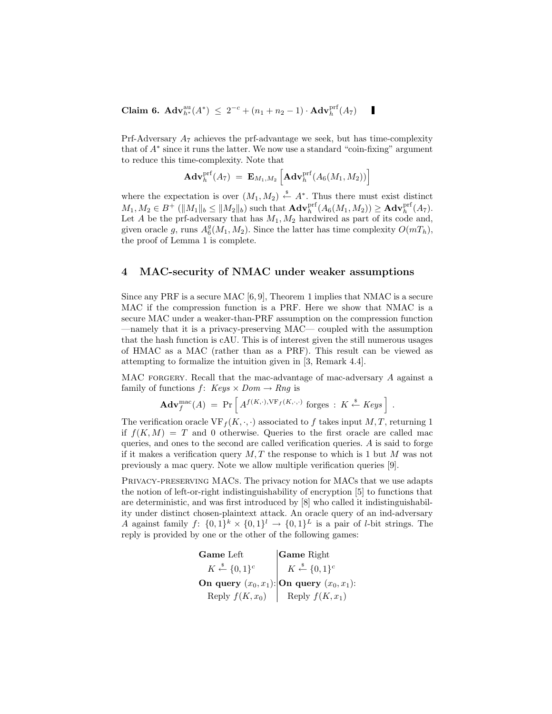Claim 6. Adv<sub>h<sup>∗</sub>(A<sup>\*</sup>) ≤ 2<sup>-c</sup> + (n<sub>1</sub> + n<sub>2</sub> - 1) · Adv<sub>h</sub><sup>prf</sup>(A<sub>7</sub>)</sub></sup>  $\blacksquare$ 

Prf-Adversary  $A_7$  achieves the prf-advantage we seek, but has time-complexity that of A<sup>∗</sup> since it runs the latter. We now use a standard "coin-fixing" argument to reduce this time-complexity. Note that

$$
\mathbf{Adv}^{\mathrm{prf}}_h(A_7)~=~\mathbf{E}_{M_1,M_2}\left[\mathbf{Adv}^{\mathrm{prf}}_h(A_6(M_1,M_2))\right]
$$

where the expectation is over  $(M_1, M_2) \stackrel{\hspace{0.1em}\mathsf{\scriptscriptstyle\$}}{\leftarrow} A^*$ . Thus there must exist distinct  $M_1, M_2 \in B^+ \left( \|M_1\|_b \le \|M_2\|_b \right)$  such that  $\mathbf{Adv}_h^{\text{prf}}(A_6(M_1, M_2)) \ge \mathbf{Adv}_h^{\text{prf}}(A_7)$ . Let A be the prf-adversary that has  $M_1, M_2$  hardwired as part of its code and, given oracle g, runs  $A_6^g(M_1, M_2)$ . Since the latter has time complexity  $O(mT_h)$ , the proof of Lemma 1 is complete.

## 4 MAC-security of NMAC under weaker assumptions

Since any PRF is a secure MAC [6, 9], Theorem 1 implies that NMAC is a secure MAC if the compression function is a PRF. Here we show that NMAC is a secure MAC under a weaker-than-PRF assumption on the compression function —namely that it is a privacy-preserving MAC— coupled with the assumption that the hash function is cAU. This is of interest given the still numerous usages of HMAC as a MAC (rather than as a PRF). This result can be viewed as attempting to formalize the intuition given in [3, Remark 4.4].

MAC FORGERY. Recall that the mac-advantage of mac-adversary  $A$  against a family of functions  $f: Keys \times Dom \rightarrow Rng$  is

$$
\mathbf{Adv}_{f}^{\mathrm{mac}}(A) = \Pr\left[A^{f(K,\cdot),\mathrm{VF}_{f}(K,\cdot,\cdot)}\mathrm{~forges~:~}K \xleftarrow{\$} \mathbf{Keys}\right].
$$

The verification oracle  $VF_f(K, \cdot, \cdot)$  associated to f takes input  $M, T$ , returning 1 if  $f(K, M) = T$  and 0 otherwise. Queries to the first oracle are called mac queries, and ones to the second are called verification queries. A is said to forge if it makes a verification query  $M, T$  the response to which is 1 but M was not previously a mac query. Note we allow multiple verification queries [9].

Privacy-preserving MACs. The privacy notion for MACs that we use adapts the notion of left-or-right indistinguishability of encryption [5] to functions that are deterministic, and was first introduced by [8] who called it indistinguishability under distinct chosen-plaintext attack. An oracle query of an ind-adversary A against family  $f: \{0,1\}^k \times \{0,1\}^l \to \{0,1\}^L$  is a pair of *l*-bit strings. The reply is provided by one or the other of the following games:

| Game Left                                       | Game Right                    |
|-------------------------------------------------|-------------------------------|
| $K \xleftarrow{\$} \{0,1\}^c$                   | $K \xleftarrow{\$} \{0,1\}^c$ |
| On query $(x_0, x_1)$ : On query $(x_0, x_1)$ : |                               |
| Reply $f(K, x_0)$ Reply $f(K, x_1)$             |                               |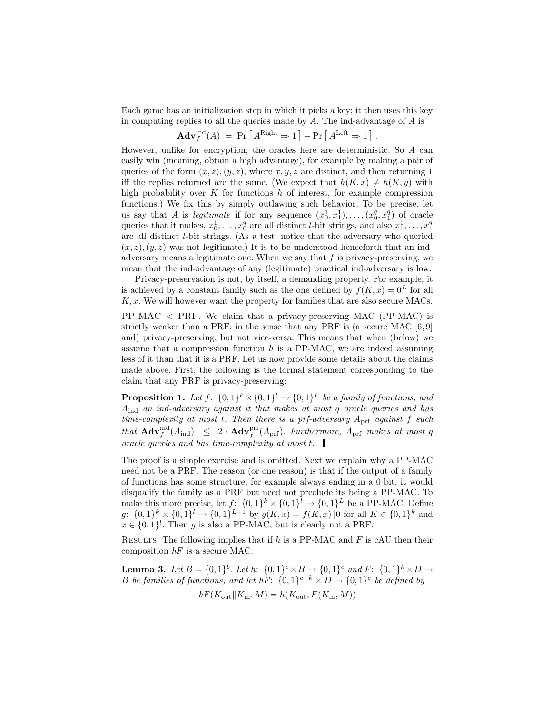Each game has an initialization step in which it picks a key; it then uses this key in computing replies to all the queries made by  $A$ . The ind-advantage of  $A$  is

$$
\mathbf{Adv}^{\operatorname{ind}}_f(A) = \Pr\left[\,A^{\operatorname{Right}} \Rightarrow 1\,\right] - \Pr\left[\,A^{\operatorname{Left}} \Rightarrow 1\,\right].
$$

However, unlike for encryption, the oracles here are deterministic. So A can easily win (meaning, obtain a high advantage), for example by making a pair of queries of the form  $(x, z), (y, z)$ , where  $x, y, z$  are distinct, and then returning 1 iff the replies returned are the same. (We expect that  $h(K, x) \neq h(K, y)$  with high probability over K for functions h of interest, for example compression functions.) We fix this by simply outlawing such behavior. To be precise, let us say that A is *legitimate* if for any sequence  $(x_0^1, x_1^1), \ldots, (x_0^q, x_1^q)$  of oracle queries that it makes,  $x_0^1, \ldots, x_0^q$  are all distinct *l*-bit strings, and also  $x_1^1, \ldots, x_1^q$ are all distinct l-bit strings. (As a test, notice that the adversary who queried  $(x, z), (y, z)$  was not legitimate.) It is to be understood henceforth that an indadversary means a legitimate one. When we say that  $f$  is privacy-preserving, we mean that the ind-advantage of any (legitimate) practical ind-adversary is low.

Privacy-preservation is not, by itself, a demanding property. For example, it is achieved by a constant family such as the one defined by  $f(K, x) = 0<sup>L</sup>$  for all  $K, x$ . We will however want the property for families that are also secure MACs.

PP-MAC < PRF. We claim that a privacy-preserving MAC (PP-MAC) is strictly weaker than a PRF, in the sense that any PRF is (a secure MAC  $[6, 9]$ ) and) privacy-preserving, but not vice-versa. This means that when (below) we assume that a compression function  $h$  is a PP-MAC, we are indeed assuming less of it than that it is a PRF. Let us now provide some details about the claims made above. First, the following is the formal statement corresponding to the claim that any PRF is privacy-preserving:

**Proposition 1.** Let  $f: \{0,1\}^k \times \{0,1\}^l \rightarrow \{0,1\}^L$  be a family of functions, and  $A_{\text{ind}}$  an ind-adversary against it that makes at most q oracle queries and has time-complexity at most t. Then there is a prf-adversary  $A_{\text{prf}}$  against f such that  $\mathbf{Adv}^{\text{ind}}_f(A_{\text{ind}}) \leq 2 \cdot \mathbf{Adv}^{\text{prf}}_f(A_{\text{prf}})$ . Furthermore,  $A_{\text{prf}}$  makes at most q oracle queries and has time-complexity at most t.

The proof is a simple exercise and is omitted. Next we explain why a PP-MAC need not be a PRF. The reason (or one reason) is that if the output of a family of functions has some structure, for example always ending in a 0 bit, it would disqualify the family as a PRF but need not preclude its being a PP-MAC. To make this more precise, let  $f: \{0,1\}^k \times \{0,1\}^l \rightarrow \{0,1\}^L$  be a PP-MAC. Define g:  $\{0,1\}^k \times \{0,1\}^l \to \{0,1\}^{L+1}$  by  $g(K,x) = f(K,x) \parallel 0$  for all  $K \in \{0,1\}^k$  and  $x \in \{0,1\}^l$ . Then g is also a PP-MAC, but is clearly not a PRF.

RESULTS. The following implies that if h is a PP-MAC and  $F$  is cAU then their composition  $hF$  is a secure MAC.

**Lemma 3.** Let  $B = \{0, 1\}^b$ . Let  $h: \{0, 1\}^c \times B \to \{0, 1\}^c$  and  $F: \{0, 1\}^k \times D \to$ B be families of functions, and let  $hF: \{0,1\}^{c+k} \times D \to \{0,1\}^c$  be defined by

$$
hF(K_{\text{out}}||K_{\text{in}}, M) = h(K_{\text{out}}, F(K_{\text{in}}, M))
$$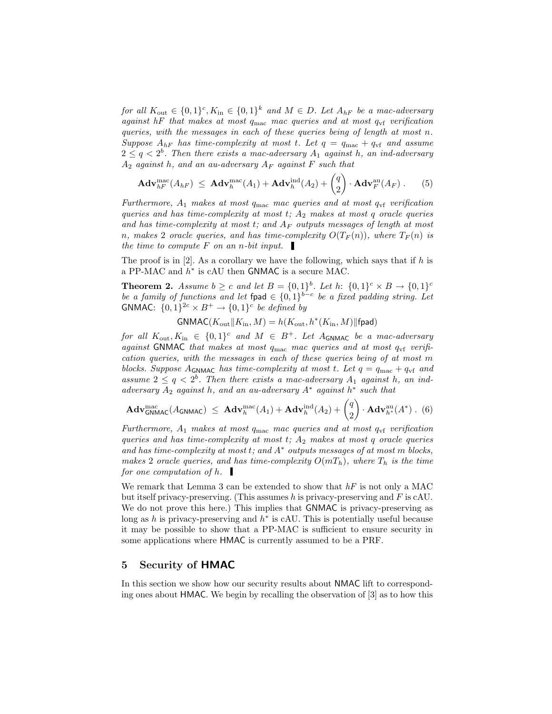for all  $K_{\text{out}} \in \{0,1\}^c$ ,  $K_{\text{in}} \in \{0,1\}^k$  and  $M \in D$ . Let  $A_{hF}$  be a mac-adversary against hF that makes at most  $q_{\text{mac}}$  mac queries and at most  $q_{\text{vf}}$  verification queries, with the messages in each of these queries being of length at most n. Suppose  $A_{hF}$  has time-complexity at most t. Let  $q = q_{\text{mac}} + q_{\text{vf}}$  and assume  $2 \leq q < 2^b$ . Then there exists a mac-adversary  $A_1$  against h, an ind-adversary  $A_2$  against h, and an au-adversary  $A_F$  against F such that

$$
\mathbf{Adv}_{hF}^{\text{mac}}(A_{hF}) \leq \mathbf{Adv}_{h}^{\text{mac}}(A_1) + \mathbf{Adv}_{h}^{\text{ind}}(A_2) + \begin{pmatrix} q \\ 2 \end{pmatrix} \cdot \mathbf{Adv}_{F}^{\text{au}}(A_F).
$$
 (5)

Furthermore,  $A_1$  makes at most  $q_{\text{mac}}$  mac queries and at most  $q_{\text{vf}}$  verification queries and has time-complexity at most  $t$ ;  $A_2$  makes at most q oracle queries and has time-complexity at most t; and  $A_F$  outputs messages of length at most n, makes 2 oracle queries, and has time-complexity  $O(T_F(n))$ , where  $T_F(n)$  is the time to compute F on an n-bit input.

The proof is in [2]. As a corollary we have the following, which says that if  $h$  is a PP-MAC and  $h^*$  is cAU then GNMAC is a secure MAC.

**Theorem 2.** Assume  $b \geq c$  and let  $B = \{0, 1\}^b$ . Let h:  $\{0, 1\}^c \times B \rightarrow \{0, 1\}^c$ be a family of functions and let fpad  $\in \{0,1\}^{b-c}$  be a fixed padding string. Let GNMAC:  $\{0,1\}^{2c} \times B^+ \rightarrow \{0,1\}^c$  be defined by

 $\mathsf{GNMAC}(K_{\mathrm{out}}\|K_{\mathrm{in}}, M) = h(K_{\mathrm{out}}, h^*(K_{\mathrm{in}}, M)\| \mathsf{fpad})$ 

for all  $K_{\text{out}}$ ,  $K_{\text{in}} \in \{0,1\}^c$  and  $M \in B^+$ . Let  $A_{\text{GNMAC}}$  be a mac-adversary against GNMAC that makes at most  $q_{\text{mac}}$  mac queries and at most  $q_{\text{vf}}$  verification queries, with the messages in each of these queries being of at most m blocks. Suppose A<sub>GNMAC</sub> has time-complexity at most t. Let  $q = q_{\text{mac}} + q_{\text{vf}}$  and assume  $2 \le q < 2^b$ . Then there exists a mac-adversary  $A_1$  against h, an ind $adversary A<sub>2</sub>$  against h, and an au-adversary  $A^*$  against  $h^*$  such that

$$
\mathbf{Adv}_{\mathsf{GNMAC}}^{\mathrm{mac}}(A_{\mathsf{GNMAC}}) \leq \mathbf{Adv}_{h}^{\mathrm{mac}}(A_1) + \mathbf{Adv}_{h}^{\mathrm{ind}}(A_2) + \begin{pmatrix} q \\ 2 \end{pmatrix} \cdot \mathbf{Adv}_{h^*}^{\mathrm{au}}(A^*) \ . \ (6)
$$

Furthermore,  $A_1$  makes at most  $q_{\text{mac}}$  mac queries and at most  $q_{\text{vf}}$  verification queries and has time-complexity at most  $t$ ;  $A_2$  makes at most q oracle queries and has time-complexity at most t; and  $A^*$  outputs messages of at most m blocks, makes 2 oracle queries, and has time-complexity  $O(mT_h)$ , where  $T_h$  is the time for one computation of  $h$ .

We remark that Lemma 3 can be extended to show that  $hF$  is not only a MAC but itself privacy-preserving. (This assumes h is privacy-preserving and  $F$  is cAU. We do not prove this here.) This implies that GNMAC is privacy-preserving as long as h is privacy-preserving and  $h^*$  is cAU. This is potentially useful because it may be possible to show that a PP-MAC is sufficient to ensure security in some applications where HMAC is currently assumed to be a PRF.

## 5 Security of HMAC

In this section we show how our security results about NMAC lift to corresponding ones about HMAC. We begin by recalling the observation of [3] as to how this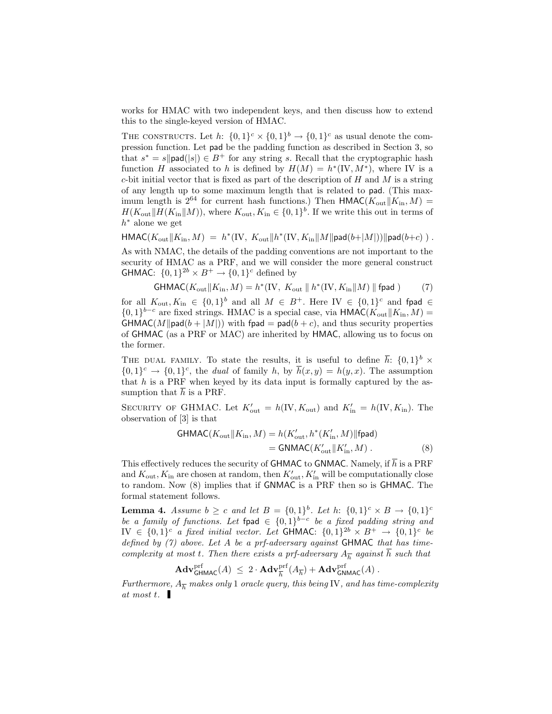works for HMAC with two independent keys, and then discuss how to extend this to the single-keyed version of HMAC.

THE CONSTRUCTS. Let  $h: \{0,1\}^c \times \{0,1\}^b \rightarrow \{0,1\}^c$  as usual denote the compression function. Let pad be the padding function as described in Section 3, so that  $s^* = s \parallel \text{pad}(|s|) \in B^+$  for any string s. Recall that the cryptographic hash function H associated to h is defined by  $H(M) = h^*(IV, M^*)$ , where IV is a c-bit initial vector that is fixed as part of the description of  $H$  and  $M$  is a string of any length up to some maximum length that is related to pad. (This maximum length is  $2^{64}$  for current hash functions.) Then HMAC( $K_{\text{out}}||K_{\text{in}}, M$ ) =  $H(K_{\text{out}}||H(K_{\text{in}}||M))$ , where  $K_{\text{out}}$ ,  $K_{\text{in}} \in \{0,1\}^b$ . If we write this out in terms of  $h^*$  alone we get

 $\mathsf{HMAC}(K_{\text{out}} \| K_{\text{in}}, M) \; = \; h^*(\text{IV}, \; K_{\text{out}} \| h^*(\text{IV}, K_{\text{in}} \| M \| \text{pad}(b + |M|)) \|\text{pad}(b + c) \; ) \; .$ 

As with NMAC, the details of the padding conventions are not important to the security of HMAC as a PRF, and we will consider the more general construct **GHMAC:**  $\{0,1\}^{2b} \times B^+ \rightarrow \{0,1\}^c$  defined by

$$
\mathsf{GHMAC}(K_{\mathrm{out}} \| K_{\mathrm{in}}, M) = h^*(\text{IV}, K_{\mathrm{out}} \| h^*(\text{IV}, K_{\mathrm{in}} \| M) \| \text{fpad}) \tag{7}
$$

for all  $K_{\text{out}}$ ,  $K_{\text{in}} \in \{0,1\}^b$  and all  $M \in B^+$ . Here  $IV \in \{0,1\}^c$  and fpad  $\in$  ${0,1}^{b-c}$  are fixed strings. HMAC is a special case, via  $\text{HMAC}(K_{\text{out}}||K_{\text{in}}, M)$  = GHMAC(M||pad( $b + |M|$ )) with fpad = pad( $b + c$ ), and thus security properties of GHMAC (as a PRF or MAC) are inherited by HMAC, allowing us to focus on the former.

THE DUAL FAMILY. To state the results, it is useful to define  $\bar{h}$ :  $\{0,1\}^b$  ×  ${0,1}^c \rightarrow {0,1}^c$ , the *dual* of family *h*, by  $\overline{h}(x,y) = h(y,x)$ . The assumption that  $h$  is a PRF when keyed by its data input is formally captured by the assumption that  $h$  is a PRF.

SECURITY OF GHMAC. Let  $K'_{\text{out}} = h(\text{IV}, K_{\text{out}})$  and  $K'_{\text{in}} = h(\text{IV}, K_{\text{in}})$ . The observation of [3] is that

$$
GHMAC(K_{out} || K_{in}, M) = h(K'_{out}, h^*(K'_{in}, M) || \text{fpad})
$$
  
= GNMAC(K'\_{out} || K'\_{in}, M) . (8)

This effectively reduces the security of GHMAC to GNMAC. Namely, if  $\overline{h}$  is a PRF and  $K_{\text{out}}$ ,  $K_{\text{in}}$  are chosen at random, then  $K'_{\text{out}}$ ,  $K'_{\text{in}}$  will be computationally close to random. Now (8) implies that if GNMAC is a PRF then so is GHMAC. The formal statement follows.

**Lemma 4.** Assume  $b \geq c$  and let  $B = \{0,1\}^b$ . Let h:  $\{0,1\}^c \times B \rightarrow \{0,1\}^c$ be a family of functions. Let  $\text{fpad } \in \{0,1\}^{b-c}$  be a fixed padding string and IV  $\in \{0,1\}^c$  a fixed initial vector. Let GHMAC:  $\{0,1\}^{2b} \times B^+ \rightarrow \{0,1\}^c$  be defined by  $(7)$  above. Let A be a prf-adversary against GHMAC that has timecomplexity at most t. Then there exists a prf-adversary  $A_{\overline{h}}$  against h such that

$$
\mathbf{Adv}_{\mathsf{GHMAC}}^{\mathsf{prf}}(A) \ \leq \ 2 \cdot \mathbf{Adv}_{\overline{h}}^{\mathsf{prf}}(A_{\overline{h}}) + \mathbf{Adv}_{\mathsf{GNMAC}}^{\mathsf{prf}}(A) \ .
$$

Furthermore,  $A_{\overline{h}}$  makes only 1 oracle query, this being IV, and has time-complexity at most t.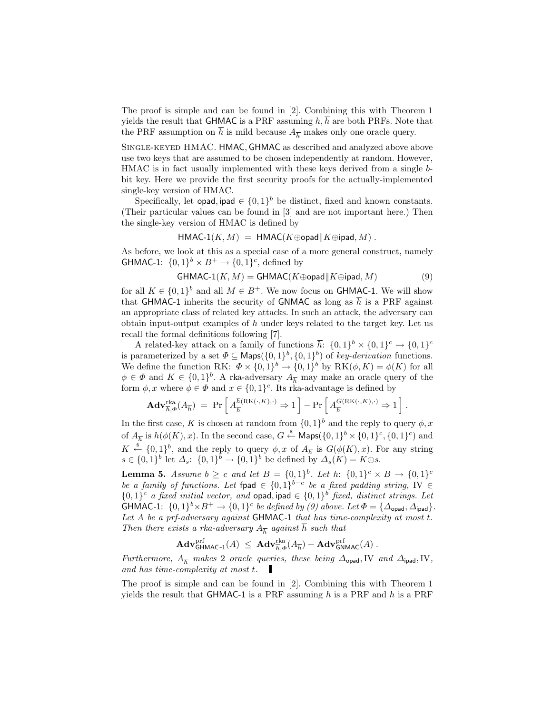The proof is simple and can be found in [2]. Combining this with Theorem 1 yields the result that GHMAC is a PRF assuming  $h, h$  are both PRFs. Note that the PRF assumption on h is mild because  $A_{\overline{h}}$  makes only one oracle query.

Single-keyed HMAC. HMAC,GHMAC as described and analyzed above above use two keys that are assumed to be chosen independently at random. However, HMAC is in fact usually implemented with these keys derived from a single bbit key. Here we provide the first security proofs for the actually-implemented single-key version of HMAC.

Specifically, let opad, ipad  $\in \{0,1\}^b$  be distinct, fixed and known constants. (Their particular values can be found in [3] and are not important here.) Then the single-key version of HMAC is defined by

$$
\mathsf{HMAC}\text{-}1(K,M) = \mathsf{HMAC}(K \oplus \mathsf{opad} \parallel K \oplus \mathsf{ipad}, M) .
$$

As before, we look at this as a special case of a more general construct, namely **GHMAC-1:**  $\{0,1\}^b \times B^+ \to \{0,1\}^c$ , defined by

$$
GHMAC-1(K, M) = GHMAC(K \oplus \text{opad} \parallel K \oplus \text{ipad}, M)
$$
 (9)

for all  $K \in \{0,1\}^b$  and all  $M \in B^+$ . We now focus on **GHMAC-1**. We will show that GHMAC-1 inherits the security of GNMAC as long as  $\overline{h}$  is a PRF against an appropriate class of related key attacks. In such an attack, the adversary can obtain input-output examples of  $h$  under keys related to the target key. Let us recall the formal definitions following [7].

A related-key attack on a family of functions  $\overline{h}$ :  $\{0,1\}^b \times \{0,1\}^c \rightarrow \{0,1\}^c$ is parameterized by a set  $\Phi \subseteq \mathsf{Maps}(\{0,1\}^b, \{0,1\}^b)$  of key-derivation functions. We define the function RK:  $\Phi \times \{0,1\}^b \to \{0,1\}^b$  by  $RK(\phi, K) = \phi(K)$  for all  $\phi \in \Phi$  and  $K \in \{0,1\}^b$ . A rka-adversary  $A_{\overline{h}}$  may make an oracle query of the form  $\phi, x$  where  $\phi \in \Phi$  and  $x \in \{0,1\}^c$ . Its rka-advantage is defined by

$$
\mathbf{Adv}_{\overline{h}, \Phi}^{\text{rka}}(A_{\overline{h}}) = \Pr\left[\,A_{\overline{h}}^{\overline{h}(\text{RK}(\cdot, K), \cdot)} \Rightarrow 1\,\right] - \Pr\left[\,A_{\overline{h}}^{G(\text{RK}(\cdot, K), \cdot)} \Rightarrow 1\,\right].
$$

In the first case, K is chosen at random from  $\{0,1\}^b$  and the reply to query  $\phi, x$ of  $A_{\overline{h}}$  is  $\overline{h}(\phi(K),x)$ . In the second case,  $G \stackrel{\hspace{0.1em}\mathsf{\scriptscriptstyle\$}}{\leftarrow} \mathsf{Maps}(\{0,1\}^b \times \{0,1\}^c, \{0,1\}^c)$  and  $K \stackrel{\hspace{0.1em}\mathsf{\scriptscriptstyle\$}}{\leftarrow} \{0,1\}^b$ , and the reply to query  $\phi, x$  of  $A_{\overline{h}}$  is  $G(\phi(K), x)$ . For any string  $s \in \{0,1\}^b$  let  $\Delta_s$ :  $\{0,1\}^b \rightarrow \{0,1\}^b$  be defined by  $\Delta_s(K) = K \oplus s$ .

**Lemma 5.** Assume  $b \geq c$  and let  $B = \{0,1\}^b$ . Let h:  $\{0,1\}^c \times B \rightarrow \{0,1\}^c$ be a family of functions. Let  $\text{fpad} \in \{0,1\}^{b-c}$  be a fixed padding string,  $\text{IV} \in$  ${0,1}^c$  a fixed initial vector, and opad, ipad  $\in {0,1}^b$  fixed, distinct strings. Let GHMAC-1:  $\{0,1\}^b \times B^+ \to \{0,1\}^c$  be defined by (9) above. Let  $\Phi = {\Delta_{\text{opad}}}, {\Delta_{\text{ipad}}}.$ Let A be a prf-adversary against GHMAC-1 that has time-complexity at most t. Then there exists a rka-adversary  $A_{\overline{h}}$  against h such that

 $\mathbf{Adv}_{\mathsf{GHMAC-1}}^{\text{prf}}(A) \ \leq \ \mathbf{Adv}_{\overline{h},\Phi}^{\text{rka}}(A_{\overline{h}}) + \mathbf{Adv}_{\mathsf{GNMAC}}^{\text{prf}}(A) \ .$ 

Furthermore,  $A_{\overline{h}}$  makes 2 oracle queries, these being  $\Delta_{\text{onad}}$ , IV and  $\Delta_{\text{inad}}$ , IV, and has time-complexity at most t.

The proof is simple and can be found in [2]. Combining this with Theorem 1 yields the result that GHMAC-1 is a PRF assuming h is a PRF and  $\overline{h}$  is a PRF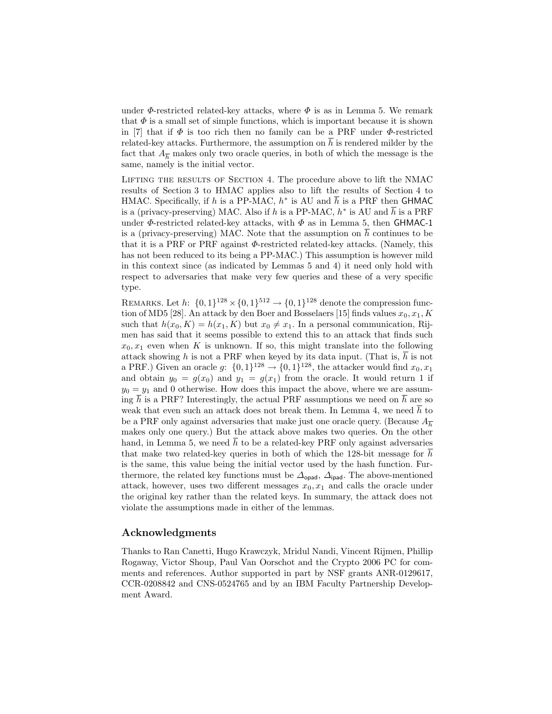under  $\Phi$ -restricted related-key attacks, where  $\Phi$  is as in Lemma 5. We remark that  $\Phi$  is a small set of simple functions, which is important because it is shown in [7] that if  $\Phi$  is too rich then no family can be a PRF under  $\Phi$ -restricted related-key attacks. Furthermore, the assumption on  $\overline{h}$  is rendered milder by the fact that  $A_{\overline{h}}$  makes only two oracle queries, in both of which the message is the same, namely is the initial vector.

Lifting the results of Section 4. The procedure above to lift the NMAC results of Section 3 to HMAC applies also to lift the results of Section 4 to HMAC. Specifically, if h is a PP-MAC,  $h^*$  is AU and  $\overline{h}$  is a PRF then GHMAC is a (privacy-preserving) MAC. Also if h is a PP-MAC,  $h^*$  is AU and  $\overline{h}$  is a PRF under  $\Phi$ -restricted related-key attacks, with  $\Phi$  as in Lemma 5, then GHMAC-1 is a (privacy-preserving) MAC. Note that the assumption on  $\overline{h}$  continues to be that it is a PRF or PRF against  $\Phi$ -restricted related-key attacks. (Namely, this has not been reduced to its being a PP-MAC.) This assumption is however mild in this context since (as indicated by Lemmas 5 and 4) it need only hold with respect to adversaries that make very few queries and these of a very specific type.

REMARKS. Let  $h: \{0,1\}^{128} \times \{0,1\}^{512} \rightarrow \{0,1\}^{128}$  denote the compression function of MD5 [28]. An attack by den Boer and Bosselaers [15] finds values  $x_0, x_1, K$ such that  $h(x_0, K) = h(x_1, K)$  but  $x_0 \neq x_1$ . In a personal communication, Rijmen has said that it seems possible to extend this to an attack that finds such  $x_0, x_1$  even when K is unknown. If so, this might translate into the following attack showing h is not a PRF when keyed by its data input. (That is,  $\overline{h}$  is not a PRF.) Given an oracle  $g: \{0,1\}^{128} \rightarrow \{0,1\}^{128}$ , the attacker would find  $x_0, x_1$ and obtain  $y_0 = g(x_0)$  and  $y_1 = g(x_1)$  from the oracle. It would return 1 if  $y_0 = y_1$  and 0 otherwise. How does this impact the above, where we are assuming h is a PRF? Interestingly, the actual PRF assumptions we need on h are so weak that even such an attack does not break them. In Lemma 4, we need  $\overline{h}$  to be a PRF only against adversaries that make just one oracle query. (Because  $A_{\overline{h}}$ makes only one query.) But the attack above makes two queries. On the other hand, in Lemma 5, we need  $\overline{h}$  to be a related-key PRF only against adversaries that make two related-key queries in both of which the 128-bit message for  $\overline{h}$ is the same, this value being the initial vector used by the hash function. Furthermore, the related key functions must be  $\Delta_{\text{opad}}$ ,  $\Delta_{\text{ipad}}$ . The above-mentioned attack, however, uses two different messages  $x_0, x_1$  and calls the oracle under the original key rather than the related keys. In summary, the attack does not violate the assumptions made in either of the lemmas.

#### Acknowledgments

Thanks to Ran Canetti, Hugo Krawczyk, Mridul Nandi, Vincent Rijmen, Phillip Rogaway, Victor Shoup, Paul Van Oorschot and the Crypto 2006 PC for comments and references. Author supported in part by NSF grants ANR-0129617, CCR-0208842 and CNS-0524765 and by an IBM Faculty Partnership Development Award.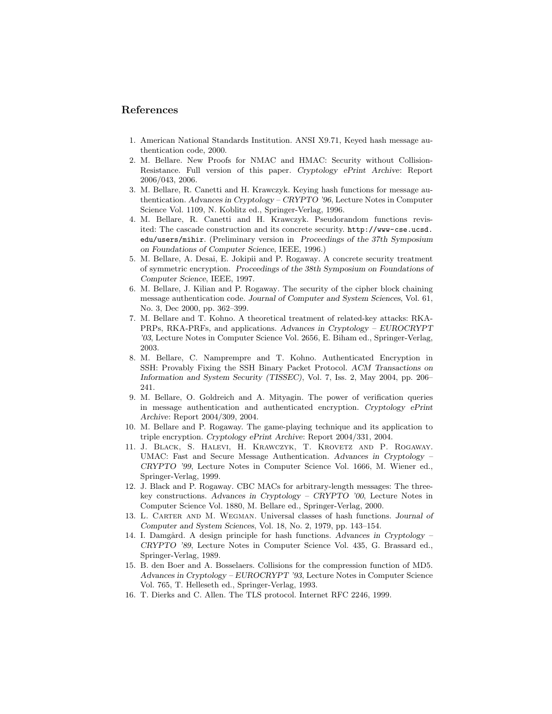## References

- 1. American National Standards Institution. ANSI X9.71, Keyed hash message authentication code, 2000.
- 2. M. Bellare. New Proofs for NMAC and HMAC: Security without Collision-Resistance. Full version of this paper. Cryptology ePrint Archive: Report 2006/043, 2006.
- 3. M. Bellare, R. Canetti and H. Krawczyk. Keying hash functions for message authentication. Advances in Cryptology – CRYPTO '96, Lecture Notes in Computer Science Vol. 1109, N. Koblitz ed., Springer-Verlag, 1996.
- 4. M. Bellare, R. Canetti and H. Krawczyk. Pseudorandom functions revisited: The cascade construction and its concrete security. http://www-cse.ucsd. edu/users/mihir. (Preliminary version in Proceedings of the 37th Symposium on Foundations of Computer Science, IEEE, 1996.)
- 5. M. Bellare, A. Desai, E. Jokipii and P. Rogaway. A concrete security treatment of symmetric encryption. Proceedings of the 38th Symposium on Foundations of Computer Science, IEEE, 1997.
- 6. M. Bellare, J. Kilian and P. Rogaway. The security of the cipher block chaining message authentication code. Journal of Computer and System Sciences, Vol. 61, No. 3, Dec 2000, pp. 362–399.
- 7. M. Bellare and T. Kohno. A theoretical treatment of related-key attacks: RKA-PRPs, RKA-PRFs, and applications. Advances in Cryptology – EUROCRYPT '03, Lecture Notes in Computer Science Vol. 2656, E. Biham ed., Springer-Verlag, 2003.
- 8. M. Bellare, C. Namprempre and T. Kohno. Authenticated Encryption in SSH: Provably Fixing the SSH Binary Packet Protocol. ACM Transactions on Information and System Security (TISSEC), Vol. 7, Iss. 2, May 2004, pp. 206– 241.
- 9. M. Bellare, O. Goldreich and A. Mityagin. The power of verification queries in message authentication and authenticated encryption. Cryptology ePrint Archive: Report 2004/309, 2004.
- 10. M. Bellare and P. Rogaway. The game-playing technique and its application to triple encryption. Cryptology ePrint Archive: Report 2004/331, 2004.
- 11. J. Black, S. Halevi, H. Krawczyk, T. Krovetz and P. Rogaway. UMAC: Fast and Secure Message Authentication. Advances in Cryptology – CRYPTO '99, Lecture Notes in Computer Science Vol. 1666, M. Wiener ed., Springer-Verlag, 1999.
- 12. J. Black and P. Rogaway. CBC MACs for arbitrary-length messages: The threekey constructions. Advances in Cryptology – CRYPTO '00, Lecture Notes in Computer Science Vol. 1880, M. Bellare ed., Springer-Verlag, 2000.
- 13. L. Carter and M. Wegman. Universal classes of hash functions. Journal of Computer and System Sciences, Vol. 18, No. 2, 1979, pp. 143–154.
- 14. I. Damgård. A design principle for hash functions. Advances in Cryptology CRYPTO '89, Lecture Notes in Computer Science Vol. 435, G. Brassard ed., Springer-Verlag, 1989.
- 15. B. den Boer and A. Bosselaers. Collisions for the compression function of MD5. Advances in Cryptology – EUROCRYPT '93, Lecture Notes in Computer Science Vol. 765, T. Helleseth ed., Springer-Verlag, 1993.
- 16. T. Dierks and C. Allen. The TLS protocol. Internet RFC 2246, 1999.